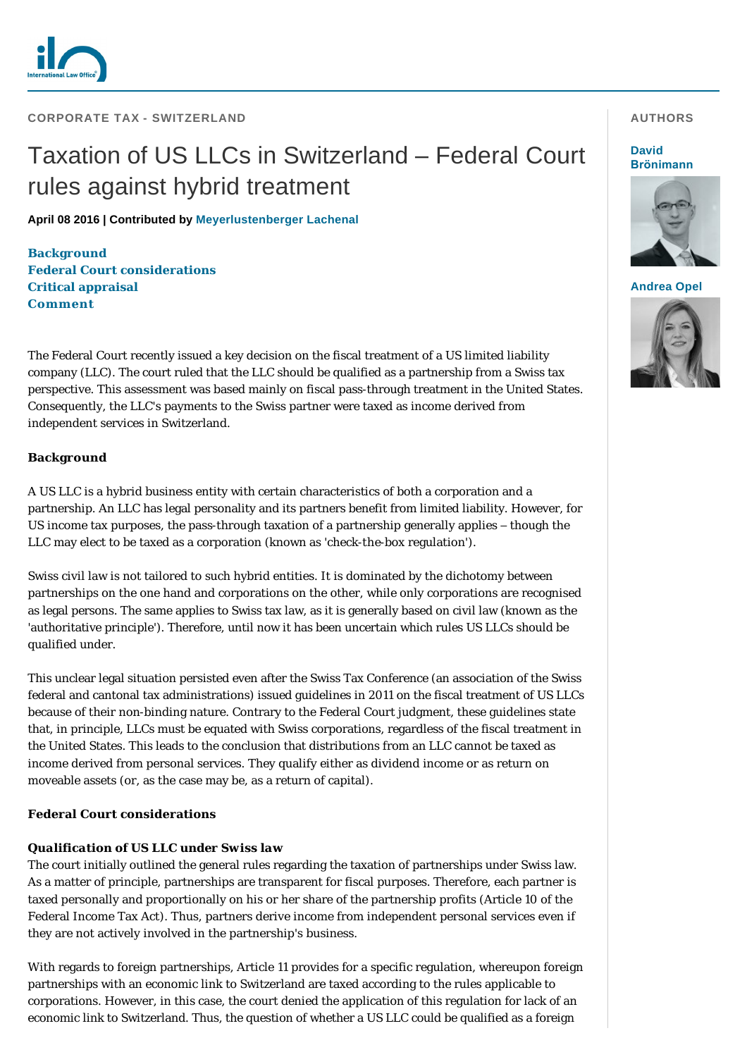

**CORPORATE TAX - SWITZERLAND** 

# Taxation of US LLCs in Switzerland – Federal Court rules against hybrid treatment

**April 08 2016 | Contributed by [Meyerlustenberger Lachenal](http://www.internationallawoffice.com/gesr.ashx?l=7R254E9)**

**[Background](#page-0-0) Federal Court considerations [Critical appraisal](#page-1-0) [Comment](#page-1-1)**

The Federal Court recently issued a key decision on the fiscal treatment of a US limited liability company (LLC). The court ruled that the LLC should be qualified as a partnership from a Swiss tax perspective. This assessment was based mainly on fiscal pass-through treatment in the United States. Consequently, the LLC's payments to the Swiss partner were taxed as income derived from independent services in Switzerland.

## <span id="page-0-0"></span>**Background**

A US LLC is a hybrid business entity with certain characteristics of both a corporation and a partnership. An LLC has legal personality and its partners benefit from limited liability. However, for US income tax purposes, the pass-through taxation of a partnership generally applies – though the LLC may elect to be taxed as a corporation (known as 'check-the-box regulation').

Swiss civil law is not tailored to such hybrid entities. It is dominated by the dichotomy between partnerships on the one hand and corporations on the other, while only corporations are recognised as legal persons. The same applies to Swiss tax law, as it is generally based on civil law (known as the 'authoritative principle'). Therefore, until now it has been uncertain which rules US LLCs should be qualified under.

This unclear legal situation persisted even after the Swiss Tax Conference (an association of the Swiss federal and cantonal tax administrations) issued guidelines in 2011 on the fiscal treatment of US LLCs because of their non-binding nature. Contrary to the Federal Court judgment, these guidelines state that, in principle, LLCs must be equated with Swiss corporations, regardless of the fiscal treatment in the United States. This leads to the conclusion that distributions from an LLC cannot be taxed as income derived from personal services. They qualify either as dividend income or as return on moveable assets (or, as the case may be, as a return of capital).

## **Federal Court considerations**

## *Qualification of US LLC under Swiss law*

The court initially outlined the general rules regarding the taxation of partnerships under Swiss law. As a matter of principle, partnerships are transparent for fiscal purposes. Therefore, each partner is taxed personally and proportionally on his or her share of the partnership profits (Article 10 of the Federal Income Tax Act). Thus, partners derive income from independent personal services even if they are not actively involved in the partnership's business.

With regards to foreign partnerships, Article 11 provides for a specific regulation, whereupon foreign partnerships with an economic link to Switzerland are taxed according to the rules applicable to corporations. However, in this case, the court denied the application of this regulation for lack of an economic link to Switzerland. Thus, the question of whether a US LLC could be qualified as a foreign

#### **AUTHORS**

#### **David [Brönimann](http://www.internationallawoffice.com/gesr.ashx?l=7R254EC)**



## **[Andrea Opel](http://www.internationallawoffice.com/gesr.ashx?l=7R254F2)**

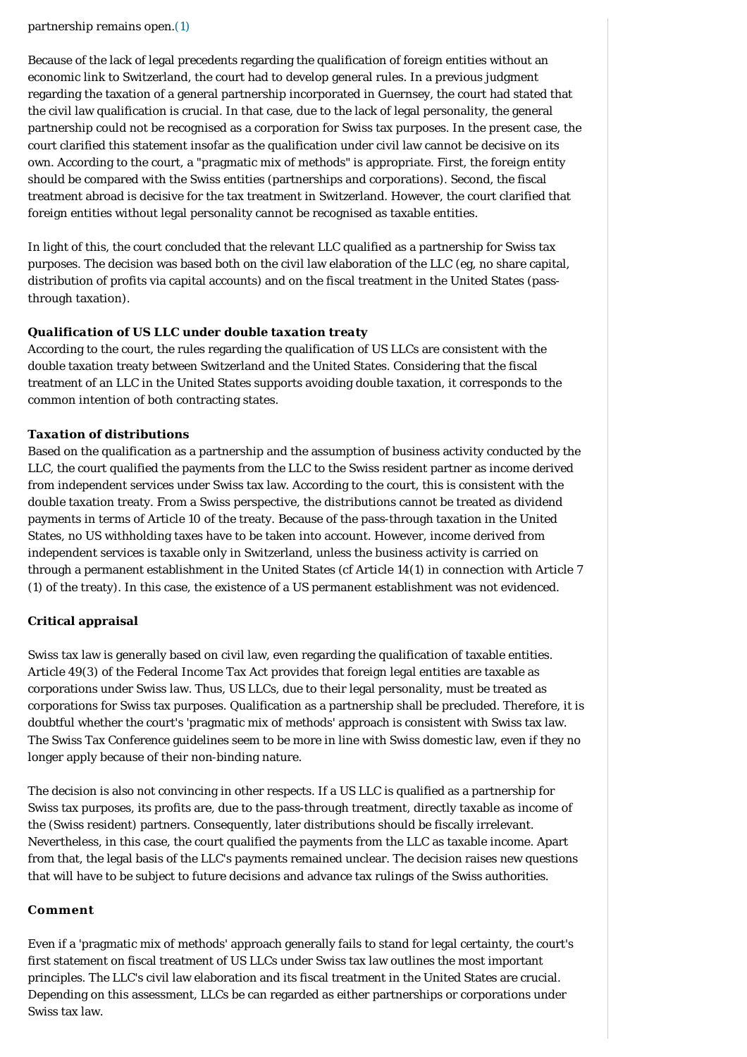partnership remains open.[\(1\)](#page-2-0)

Because of the lack of legal precedents regarding the qualification of foreign entities without an economic link to Switzerland, the court had to develop general rules. In a previous judgment regarding the taxation of a general partnership incorporated in Guernsey, the court had stated that the civil law qualification is crucial. In that case, due to the lack of legal personality, the general partnership could not be recognised as a corporation for Swiss tax purposes. In the present case, the court clarified this statement insofar as the qualification under civil law cannot be decisive on its own. According to the court, a "pragmatic mix of methods" is appropriate. First, the foreign entity should be compared with the Swiss entities (partnerships and corporations). Second, the fiscal treatment abroad is decisive for the tax treatment in Switzerland. However, the court clarified that foreign entities without legal personality cannot be recognised as taxable entities.

In light of this, the court concluded that the relevant LLC qualified as a partnership for Swiss tax purposes. The decision was based both on the civil law elaboration of the LLC (eg, no share capital, distribution of profits via capital accounts) and on the fiscal treatment in the United States (passthrough taxation).

## *Qualification of US LLC under double taxation treaty*

According to the court, the rules regarding the qualification of US LLCs are consistent with the double taxation treaty between Switzerland and the United States. Considering that the fiscal treatment of an LLC in the United States supports avoiding double taxation, it corresponds to the common intention of both contracting states.

### *Taxation of distributions*

Based on the qualification as a partnership and the assumption of business activity conducted by the LLC, the court qualified the payments from the LLC to the Swiss resident partner as income derived from independent services under Swiss tax law. According to the court, this is consistent with the double taxation treaty. From a Swiss perspective, the distributions cannot be treated as dividend payments in terms of Article 10 of the treaty. Because of the pass-through taxation in the United States, no US withholding taxes have to be taken into account. However, income derived from independent services is taxable only in Switzerland, unless the business activity is carried on through a permanent establishment in the United States (*cf* Article 14(1) in connection with Article 7 (1) of the treaty). In this case, the existence of a US permanent establishment was not evidenced.

## <span id="page-1-0"></span>**Critical appraisal**

Swiss tax law is generally based on civil law, even regarding the qualification of taxable entities. Article 49(3) of the Federal Income Tax Act provides that foreign legal entities are taxable as corporations under Swiss law. Thus, US LLCs, due to their legal personality, must be treated as corporations for Swiss tax purposes. Qualification as a partnership shall be precluded. Therefore, it is doubtful whether the court's 'pragmatic mix of methods' approach is consistent with Swiss tax law. The Swiss Tax Conference guidelines seem to be more in line with Swiss domestic law, even if they no longer apply because of their non-binding nature.

The decision is also not convincing in other respects. If a US LLC is qualified as a partnership for Swiss tax purposes, its profits are, due to the pass-through treatment, directly taxable as income of the (Swiss resident) partners. Consequently, later distributions should be fiscally irrelevant. Nevertheless, in this case, the court qualified the payments from the LLC as taxable income. Apart from that, the legal basis of the LLC's payments remained unclear. The decision raises new questions that will have to be subject to future decisions and advance tax rulings of the Swiss authorities.

#### <span id="page-1-1"></span>**Comment**

Even if a 'pragmatic mix of methods' approach generally fails to stand for legal certainty, the court's first statement on fiscal treatment of US LLCs under Swiss tax law outlines the most important principles. The LLC's civil law elaboration and its fiscal treatment in the United States are crucial. Depending on this assessment, LLCs be can regarded as either partnerships or corporations under Swiss tax law.